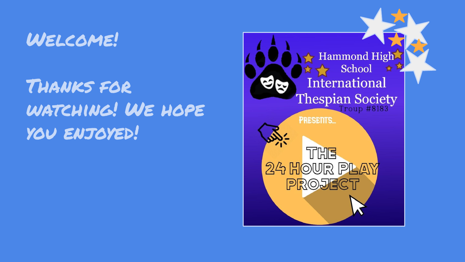## Welcome!

## Thanks for WATCHING! WE HOPE YOU ENJOYED!

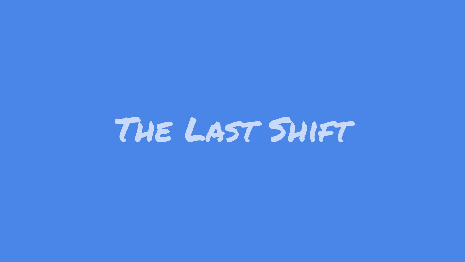The Last Shift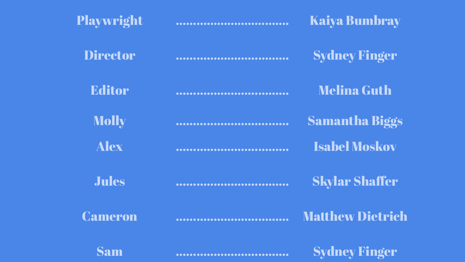| <b>Playwright</b> |                                             | <b>Kaiya Bumbray</b>    |
|-------------------|---------------------------------------------|-------------------------|
| <b>Director</b>   |                                             | <b>Sydney Finger</b>    |
| <b>Editor</b>     | ***************** <u>**************</u> *** | <b>Melina Guth</b>      |
| <b>Molly</b>      |                                             | <b>Samantha Biggs</b>   |
| <b>Alex</b>       |                                             | <b>Isabel Moskov</b>    |
| <b>Jules</b>      |                                             | <b>Skylar Shaffer</b>   |
| <b>Cameron</b>    | <u></u>                                     | <b>Matthew Dietrich</b> |
| Sam               |                                             | Svdnov Fingor           |

Sam …………………………... Sydney Finger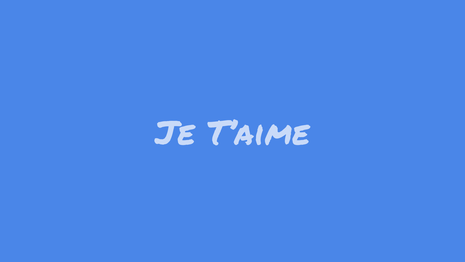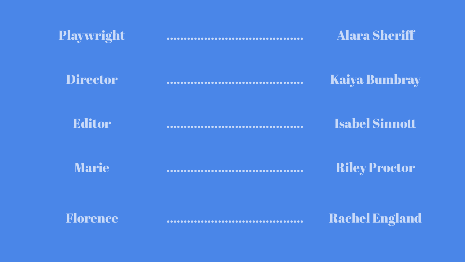



### Director …………….…………………... Kaiya Bumbray

#### Editor …………….…………………... Isabel Sinnott

Marie …………….…………………... Riley Proctor

Florence …………….…………………... Rachel England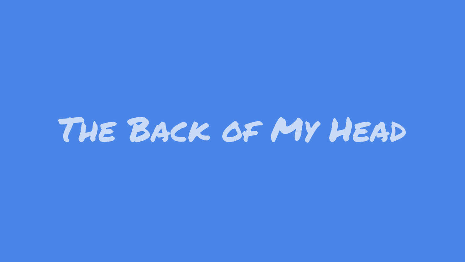# The Back of My Head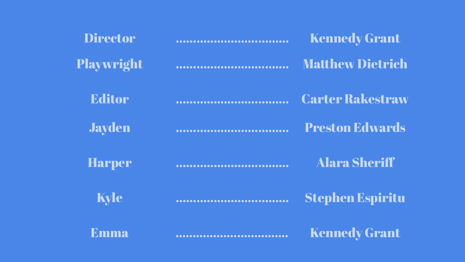| <b>Director</b>   | <b>Kennedy Grant</b>        |
|-------------------|-----------------------------|
| <b>Playwright</b> | <br><b>Matthew Dietrich</b> |
| <b>Editor</b>     | <br><b>Carter Rakestraw</b> |
| <b>Jayden</b>     | <b>Preston Edwards</b>      |
| <b>Harper</b>     | <br><b>Alara Sheriff</b>    |
| <b>Kyle</b>       | <br><b>Stephen Espiritu</b> |
| Emma              | <br><b>Kennedy Grant</b>    |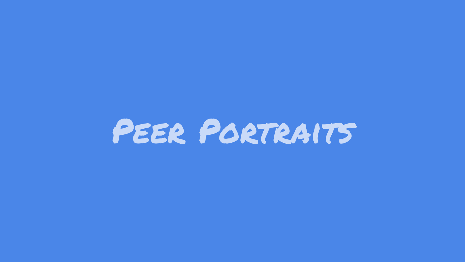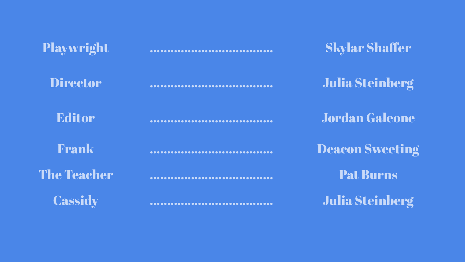

### Playwright ………………………………………… Skylar Shaffer

Director …………….……………….. Julia Steinberg

Editor …………….……………….. Jordan Galeone

Frank

The Teacher

**Cassidy** 

…………….………………..

………………………………

……………………………...

Deacon Sweeting Pat Burns

Julia Steinberg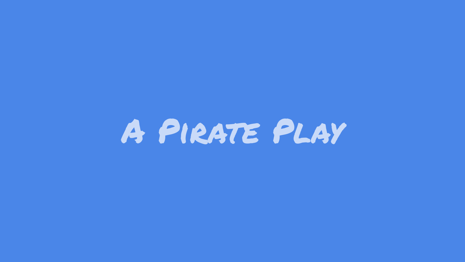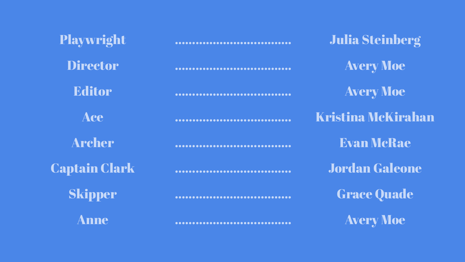| Playwright           | <br><b>Julia Steinberg</b> |
|----------------------|----------------------------|
| <b>Director</b>      | <b>Avery Moe</b>           |
| <b>Editor</b>        | <br><b>Avery Moe</b>       |
| Ace                  | <br>Kristina McKirahan     |
| <b>Archer</b>        | <br><b>Evan McRae</b>      |
| <b>Captain Clark</b> | <br><b>Jordan Galeone</b>  |
| <b>Skipper</b>       | <br><b>Grace Quade</b>     |
| Anne                 | <br><b>Avery Moe</b>       |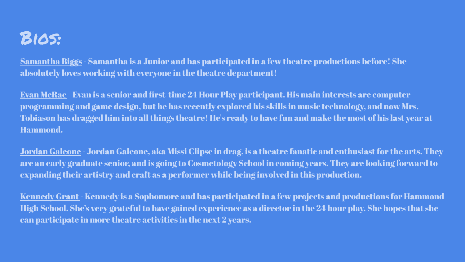### Bios:

Samantha Biggs - Samantha is a Junior and has participated in a few theatre productions before! She absolutely loves working with everyone in the theatre department!

Evan McRae - Evan is a senior and first-time 24 Hour Play participant. His main interests are computer programming and game design, but he has recently explored his skills in music technology, and now Mrs. Tobiason has dragged him into all things theatre! He's ready to have fun and make the most of his last year at Hammond.

Jordan Galeone - Jordan Galeone, aka Missi Clipse in drag, is a theatre fanatic and enthusiast for the arts. They are an early graduate senior, and is going to Cosmetology School in coming years. They are looking forward to expanding their artistry and craft as a performer while being involved in this production.

Kennedy Grant - Kennedy is a Sophomore and has participated in a few projects and productions for Hammond High School. She's very grateful to have gained experience as a director in the 24 hour play. She hopes that she can participate in more theatre activities in the next 2 years.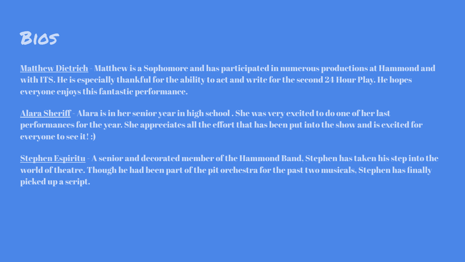### Bios

Matthew Dietrich - Matthew is a Sophomore and has participated in numerous productions at Hammond and with ITS. He is especially thankful for the ability to act and write for the second 24 Hour Play. He hopes everyone enjoys this fantastic performance.

Alara Sheriff - Alara is in her senior year in high school . She was very excited to do one of her last performances for the year. She appreciates all the effort that has been put into the show and is excited for everyone to see it! :)

Stephen Espiritu - A senior and decorated member of the Hammond Band, Stephen has taken his step into the world of theatre. Though he had been part of the pit orchestra for the past two musicals, Stephen has finally picked up a script.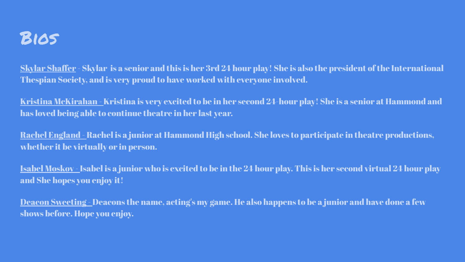

Skylar Shaffer - Skylar is a senior and this is her 3rd 24 hour play! She is also the president of the International Thespian Society, and is very proud to have worked with everyone involved.

Kristina McKirahan - Kristina is very excited to be in her second 24-hour play! She is a senior at Hammond and has loved being able to continue theatre in her last year.

Rachel England - Rachel is a junior at Hammond High school. She loves to participate in theatre productions, whether it be virtually or in person.

Isabel Moskov - Isabel is a junior who is excited to be in the 24 hour play. This is her second virtual 24 hour play and She hopes you enjoy it!

Deacon Sweeting - Deacons the name, acting's my game. He also happens to be a junior and have done a few shows before. Hope you enjoy.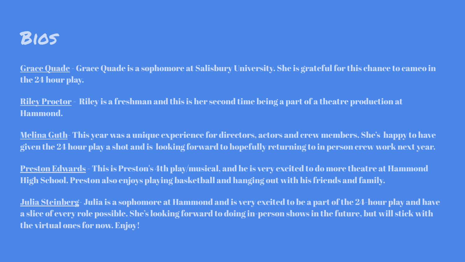

Grace Quade - Grace Quade is a sophomore at Salisbury University. She is grateful for this chance to cameo in the 24 hour play.

Riley Proctor - Riley is a freshman and this is her second time being a part of a theatre production at Hammond.

Melina Guth-This year was a unique experience for directors, actors and crew members. She's happy to have given the 24 hour play a shot and is looking forward to hopefully returning to in person crew work next year.

Preston Edwards - This is Preston's 4th play/musical, and he is very excited to do more theatre at Hammond High School. Preston also enjoys playing basketball and hanging out with his friends and family.

Julia Steinberg- Julia is a sophomore at Hammond and is very excited to be a part of the 24-hour play and have a slice of every role possible. She's looking forward to doing in-person shows in the future, but will stick with the virtual ones for now. Enjoy!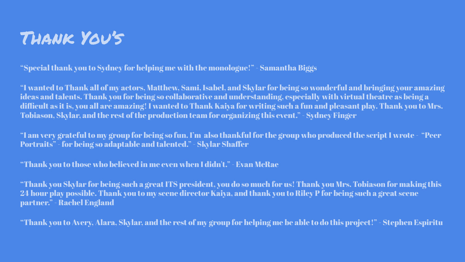

"Special thank you to Sydney for helping me with the monologue!" - Samantha Biggs

"I wanted to Thank all of my actors, Matthew, Sami, Isabel, and Skylar for being so wonderful and bringing your amazing ideas and talents. Thank you for being so collaborative and understanding, especially with virtual theatre as being a difficult as it is, you all are amazing! I wanted to Thank Kaiya for writing such a fun and pleasant play. Thank you to Mrs. Tobiason, Skylar, and the rest of the production team for organizing this event." - Sydney Finger

"I am very grateful to my group for being so fun. I'm also thankful for the group who produced the script I wrote - "Peer Portraits" - for being so adaptable and talented." - Skylar Shaffer

"Thank you to those who believed in me even when I didn't." - Evan McRae

"Thank you Skylar for being such a great ITS president, you do so much for us! Thank you Mrs. Tobiason for making this 24 hour play possible. Thank you to my scene director Kaiya, and thank you to Riley P for being such a great scene partner." - Rachel England

"Thank you to Avery, Alara, Skylar, and the rest of my group for helping me be able to do this project!" - Stephen Espiritu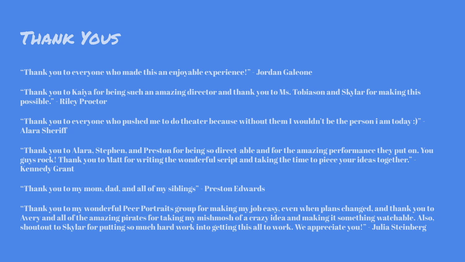

"Thank you to everyone who made this an enjoyable experience!" - Jordan Galeone

"Thank you to Kaiya for being such an amazing director and thank you to Ms. Tobiason and Skylar for making this possible." - Riley Proctor

"Thank you to everyone who pushed me to do theater because without them I wouldn't be the person i am today :)" - Alara Sheriff

"Thank you to Alara, Stephen, and Preston for being so direct-able and for the amazing performance they put on. You guys rock! Thank you to Matt for writing the wonderful script and taking the time to piece your ideas together." - Kennedy Grant

"Thank you to my mom, dad, and all of my siblings" - Preston Edwards

"Thank you to my wonderful Peer Portraits group for making my job easy, even when plans changed, and thank you to Avery and all of the amazing pirates for taking my mishmosh of a crazy idea and making it something watchable. Also, shoutout to Skylar for putting so much hard work into getting this all to work. We appreciate you!" - Julia Steinberg